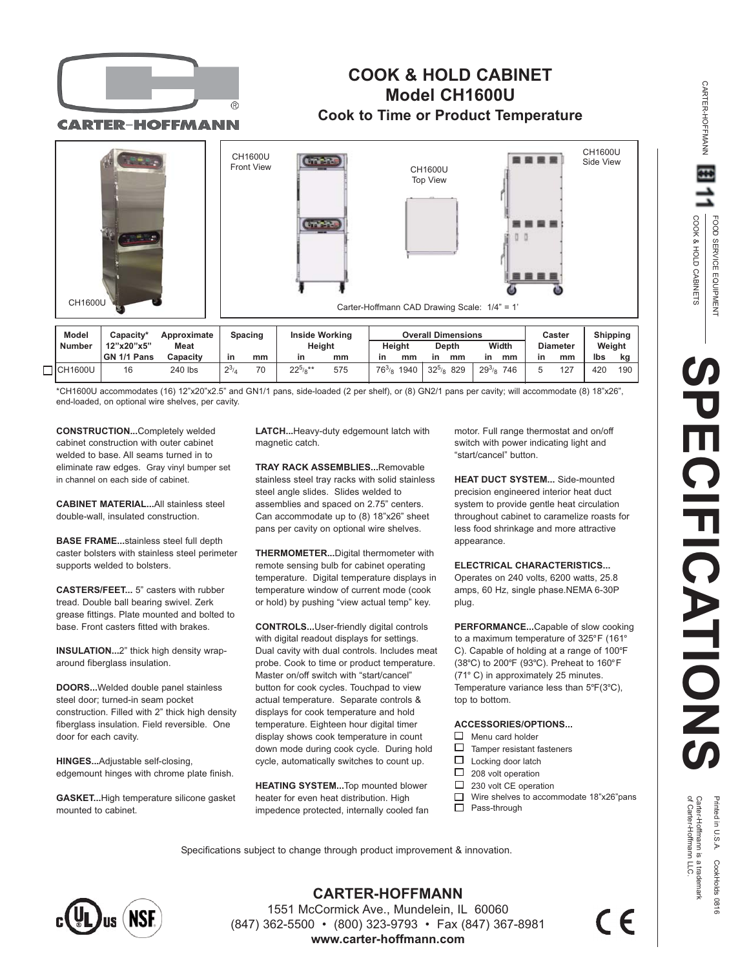



**CARTER-HOFFMANN** 

## **COOK & HOLD CABINET Model CH1600U Cook to Time or Product Temperature**



\*CH1600U accommodates (16) 12"x20"x2.5" and GN1/1 pans, side-loaded (2 per shelf), or (8) GN2/1 pans per cavity; will accommodate (8) 18"x26", end-loaded, on optional wire shelves, per cavity.

**CONSTRUCTION...**Completely welded cabinet construction with outer cabinet welded to base. All seams turned in to eliminate raw edges. Gray vinyl bumper set in channel on each side of cabinet.

**CABINET MATERIAL...**All stainless steel double-wall, insulated construction.

**BASE FRAME...**stainless steel full depth caster bolsters with stainless steel perimeter supports welded to bolsters.

**CASTERS/FEET...** 5" casters with rubber tread. Double ball bearing swivel. Zerk grease fittings. Plate mounted and bolted to base. Front casters fitted with brakes.

**INSULATION...**2" thick high density wraparound fiberglass insulation.

**DOORS...**Welded double panel stainless steel door; turned-in seam pocket construction. Filled with 2" thick high density fiberglass insulation. Field reversible. One door for each cavity.

**HINGES...**Adjustable self-closing, edgemount hinges with chrome plate finish.

**GASKET...**High temperature silicone gasket mounted to cabinet.

**LATCH...**Heavy-duty edgemount latch with magnetic catch.

**TRAY RACK ASSEMBLIES...**Removable stainless steel tray racks with solid stainless steel angle slides. Slides welded to assemblies and spaced on 2.75" centers. Can accommodate up to (8) 18"x26" sheet pans per cavity on optional wire shelves.

**THERMOMETER...**Digital thermometer with remote sensing bulb for cabinet operating temperature. Digital temperature displays in temperature window of current mode (cook or hold) by pushing "view actual temp" key.

**CONTROLS...**User-friendly digital controls with digital readout displays for settings. Dual cavity with dual controls. Includes meat probe. Cook to time or product temperature. Master on/off switch with "start/cancel" button for cook cycles. Touchpad to view actual temperature. Separate controls & displays for cook temperature and hold temperature. Eighteen hour digital timer display shows cook temperature in count down mode during cook cycle. During hold cycle, automatically switches to count up.

**HEATING SYSTEM...**Top mounted blower heater for even heat distribution. High impedence protected, internally cooled fan motor. Full range thermostat and on/off switch with power indicating light and "start/cancel" button.

**HEAT DUCT SYSTEM... Side-mounted** precision engineered interior heat duct system to provide gentle heat circulation throughout cabinet to caramelize roasts for less food shrinkage and more attractive appearance.

**ELECTRICAL CHARACTERISTICS...** Operates on 240 volts, 6200 watts, 25.8 amps, 60 Hz, single phase.NEMA 6-30P plug.

**PERFORMANCE...**Capable of slow cooking to a maximum temperature of 325°F (161° C). Capable of holding at a range of 100°F (38°C) to 200°F (93°C). Preheat to 160°F (71° C) in approximately 25 minutes. Temperature variance less than 5°F(3°C), top to bottom.

## **ACCESSORIES/OPTIONS...**

- $\Box$  Menu card holder
- $\Box$ Tamper resistant fasteners
- П Locking door latch
- $\Box$ 208 volt operation
- $\Box$ 230 volt CE operation
- □ Wire shelves to accommodate 18"x26"pans  $\Box$ Pass-through

 $\in \epsilon$ 

Specifications subject to change through product improvement & innovation.



**CARTER-HOFFMANN** 1551 McCormick Ave., Mundelein, IL 60060 (847) 362-5500 • (800) 323-9793 • Fax (847) 367-8981 **www.carter-hoffmann.com**

Printed in U.S.A. CookHolds 0816<br>Carter-Hoffmann is a trademark<br>of Carter-Hoffmann L.C.